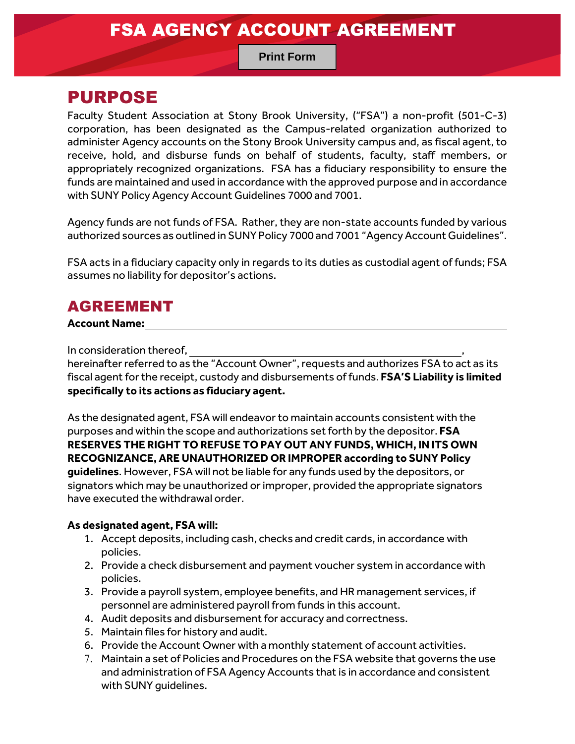### FSA AGENCY ACCOUNT AGREEMENT

### **Print Form**

### PURPOSE

Faculty Student Association at Stony Brook University, ("FSA") a non-profit (501-C-3) corporation, has been designated as the Campus-related organization authorized to administer Agency accounts on the Stony Brook University campus and, as fiscal agent, to receive, hold, and disburse funds on behalf of students, faculty, staff members, or appropriately recognized organizations. FSA has a fiduciary responsibility to ensure the funds are maintained and used in accordance with the approved purpose and in accordance with SUNY Policy Agency Account Guidelines 7000 and 7001.

Agency funds are not funds of FSA. Rather, they are non-state accounts funded by various authorized sources as outlined in SUNY Policy 7000 and 7001 "Agency Account Guidelines".

FSA acts in a fiduciary capacity only in regards to its duties as custodial agent of funds; FSA assumes no liability for depositor's actions.

### AGREEMENT

#### **Account Name:**

In consideration thereof,

hereinafter referred to as the "Account Owner", requests and authorizes FSA to act as its fiscal agent for the receipt, custody and disbursements of funds. **FSA'S Liability is limited specifically to its actions as fiduciary agent.**

As the designated agent, FSA will endeavor to maintain accounts consistent with the purposes and within the scope and authorizations set forth by the depositor. **FSA RESERVES THE RIGHT TO REFUSE TO PAY OUT ANY FUNDS, WHICH, IN ITS OWN RECOGNIZANCE, ARE UNAUTHORIZED OR IMPROPER according to SUNY Policy guidelines**. However, FSA will not be liable for any funds used by the depositors, or signators which may be unauthorized or improper, provided the appropriate signators have executed the withdrawal order.

#### **As designated agent, FSA will:**

- 1. Accept deposits, including cash, checks and credit cards, in accordance with policies.
- 2. Provide a check disbursement and payment voucher system in accordance with policies.
- 3. Provide a payroll system, employee benefits, and HR management services, if personnel are administered payroll from funds in this account.
- 4. Audit deposits and disbursement for accuracy and correctness.
- 5. Maintain files for history and audit.
- 6. Provide the Account Owner with a monthly statement of account activities.
- 7. Maintain a set of Policies and Procedures on the FSA website that governs the use and administration of FSA Agency Accounts that is in accordance and consistent with SUNY guidelines.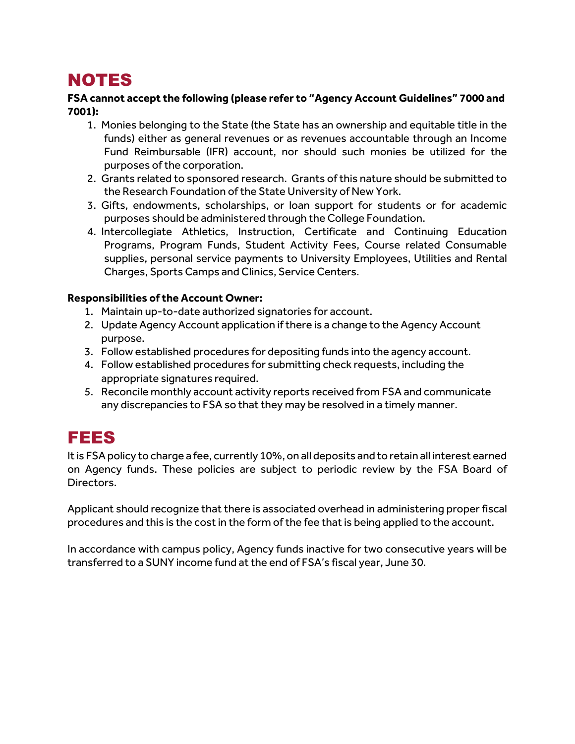## NOTES

#### **FSA cannot accept the following (please refer to "Agency Account Guidelines" 7000 and 7001):**

- 1. Monies belonging to the State (the State has an ownership and equitable title in the funds) either as general revenues or as revenues accountable through an Income Fund Reimbursable (IFR) account, nor should such monies be utilized for the purposes of the corporation.
- 2. Grants related to sponsored research. Grants of this nature should be submitted to the Research Foundation of the State University of New York.
- 3. Gifts, endowments, scholarships, or loan support for students or for academic purposes should be administered through the College Foundation.
- 4. Intercollegiate Athletics, Instruction, Certificate and Continuing Education Programs, Program Funds, Student Activity Fees, Course related Consumable supplies, personal service payments to University Employees, Utilities and Rental Charges, Sports Camps and Clinics, Service Centers.

#### **Responsibilities of the Account Owner:**

- 1. Maintain up-to-date authorized signatories for account.
- 2. Update Agency Account application if there is a change to the Agency Account purpose.
- 3. Follow established procedures for depositing funds into the agency account.
- 4. Follow established procedures for submitting check requests, including the appropriate signatures required.
- 5. Reconcile monthly account activity reports received from FSA and communicate any discrepancies to FSA so that they may be resolved in a timely manner.

### FEES

It is FSA policy to charge a fee, currently 10%, on all deposits and to retain all interest earned on Agency funds. These policies are subject to periodic review by the FSA Board of Directors.

Applicant should recognize that there is associated overhead in administering proper fiscal procedures and this is the cost in the form of the fee that is being applied to the account.

In accordance with campus policy, Agency funds inactive for two consecutive years will be transferred to a SUNY income fund at the end of FSA's fiscal year, June 30.